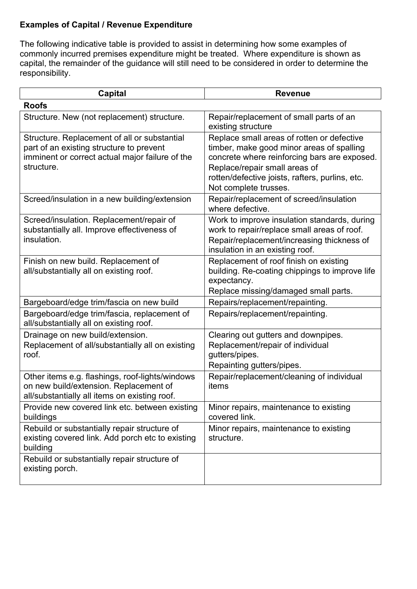## **Examples of Capital / Revenue Expenditure**

The following indicative table is provided to assist in determining how some examples of commonly incurred premises expenditure might be treated. Where expenditure is shown as capital, the remainder of the guidance will still need to be considered in order to determine the responsibility.

| <b>Capital</b>                                                                                                                                            | <b>Revenue</b>                                                                                                                                                                                                                                       |
|-----------------------------------------------------------------------------------------------------------------------------------------------------------|------------------------------------------------------------------------------------------------------------------------------------------------------------------------------------------------------------------------------------------------------|
| <b>Roofs</b>                                                                                                                                              |                                                                                                                                                                                                                                                      |
| Structure. New (not replacement) structure.                                                                                                               | Repair/replacement of small parts of an<br>existing structure                                                                                                                                                                                        |
| Structure. Replacement of all or substantial<br>part of an existing structure to prevent<br>imminent or correct actual major failure of the<br>structure. | Replace small areas of rotten or defective<br>timber, make good minor areas of spalling<br>concrete where reinforcing bars are exposed.<br>Replace/repair small areas of<br>rotten/defective joists, rafters, purlins, etc.<br>Not complete trusses. |
| Screed/insulation in a new building/extension                                                                                                             | Repair/replacement of screed/insulation<br>where defective.                                                                                                                                                                                          |
| Screed/insulation. Replacement/repair of<br>substantially all. Improve effectiveness of<br>insulation.                                                    | Work to improve insulation standards, during<br>work to repair/replace small areas of roof.<br>Repair/replacement/increasing thickness of<br>insulation in an existing roof.                                                                         |
| Finish on new build. Replacement of<br>all/substantially all on existing roof.                                                                            | Replacement of roof finish on existing<br>building. Re-coating chippings to improve life<br>expectancy.<br>Replace missing/damaged small parts.                                                                                                      |
| Bargeboard/edge trim/fascia on new build                                                                                                                  | Repairs/replacement/repainting.                                                                                                                                                                                                                      |
| Bargeboard/edge trim/fascia, replacement of<br>all/substantially all on existing roof.                                                                    | Repairs/replacement/repainting.                                                                                                                                                                                                                      |
| Drainage on new build/extension.<br>Replacement of all/substantially all on existing<br>roof.                                                             | Clearing out gutters and downpipes.<br>Replacement/repair of individual<br>gutters/pipes.<br>Repainting gutters/pipes.                                                                                                                               |
| Other items e.g. flashings, roof-lights/windows<br>on new build/extension. Replacement of<br>all/substantially all items on existing roof.                | Repair/replacement/cleaning of individual<br>items                                                                                                                                                                                                   |
| Provide new covered link etc. between existing<br>buildings                                                                                               | Minor repairs, maintenance to existing<br>covered link.                                                                                                                                                                                              |
| Rebuild or substantially repair structure of<br>existing covered link. Add porch etc to existing<br>building                                              | Minor repairs, maintenance to existing<br>structure.                                                                                                                                                                                                 |
| Rebuild or substantially repair structure of<br>existing porch.                                                                                           |                                                                                                                                                                                                                                                      |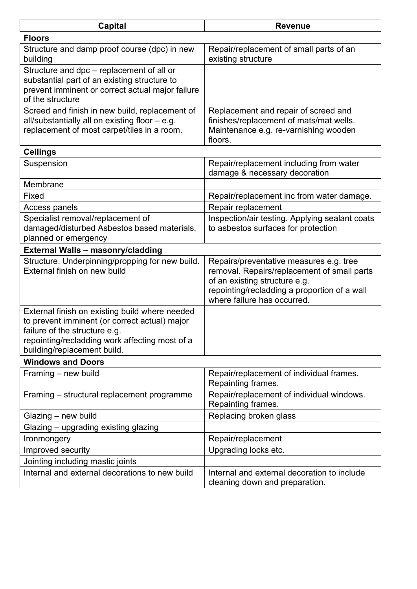| <b>Capital</b>                                                                                                                                                                                                    | <b>Revenue</b>                                                                                                                                                                                         |
|-------------------------------------------------------------------------------------------------------------------------------------------------------------------------------------------------------------------|--------------------------------------------------------------------------------------------------------------------------------------------------------------------------------------------------------|
| <b>Floors</b>                                                                                                                                                                                                     |                                                                                                                                                                                                        |
| Structure and damp proof course (dpc) in new<br>building                                                                                                                                                          | Repair/replacement of small parts of an<br>existing structure                                                                                                                                          |
| Structure and dpc – replacement of all or<br>substantial part of an existing structure to<br>prevent imminent or correct actual major failure<br>of the structure                                                 |                                                                                                                                                                                                        |
| Screed and finish in new build, replacement of<br>all/substantially all on existing floor - e.g.<br>replacement of most carpet/tiles in a room.                                                                   | Replacement and repair of screed and<br>finishes/replacement of mats/mat wells.<br>Maintenance e.g. re-varnishing wooden<br>floors.                                                                    |
| <b>Ceilings</b>                                                                                                                                                                                                   |                                                                                                                                                                                                        |
| Suspension                                                                                                                                                                                                        | Repair/replacement including from water<br>damage & necessary decoration                                                                                                                               |
| Membrane                                                                                                                                                                                                          |                                                                                                                                                                                                        |
| Fixed                                                                                                                                                                                                             | Repair/replacement inc from water damage.                                                                                                                                                              |
| Access panels                                                                                                                                                                                                     | Repair replacement                                                                                                                                                                                     |
| Specialist removal/replacement of<br>damaged/disturbed Asbestos based materials,<br>planned or emergency                                                                                                          | Inspection/air testing. Applying sealant coats<br>to asbestos surfaces for protection                                                                                                                  |
| <b>External Walls - masonry/cladding</b>                                                                                                                                                                          |                                                                                                                                                                                                        |
| Structure. Underpinning/propping for new build.<br>External finish on new build                                                                                                                                   | Repairs/preventative measures e.g. tree<br>removal. Repairs/replacement of small parts<br>of an existing structure e.g.<br>repointing/recladding a proportion of a wall<br>where failure has occurred. |
| External finish on existing build where needed<br>to prevent imminent (or correct actual) major<br>failure of the structure e.g.<br>repointing/recladding work affecting most of a<br>building/replacement build. |                                                                                                                                                                                                        |
| <b>Windows and Doors</b>                                                                                                                                                                                          |                                                                                                                                                                                                        |
| Framing – new build                                                                                                                                                                                               | Repair/replacement of individual frames.<br>Repainting frames.                                                                                                                                         |
| Framing – structural replacement programme                                                                                                                                                                        | Repair/replacement of individual windows.<br>Repainting frames.                                                                                                                                        |
| Glazing - new build                                                                                                                                                                                               | Replacing broken glass                                                                                                                                                                                 |
| Glazing - upgrading existing glazing                                                                                                                                                                              |                                                                                                                                                                                                        |
| Ironmongery                                                                                                                                                                                                       | Repair/replacement                                                                                                                                                                                     |
| Improved security                                                                                                                                                                                                 | Upgrading locks etc.                                                                                                                                                                                   |
| Jointing including mastic joints                                                                                                                                                                                  |                                                                                                                                                                                                        |
| Internal and external decorations to new build                                                                                                                                                                    | Internal and external decoration to include<br>cleaning down and preparation.                                                                                                                          |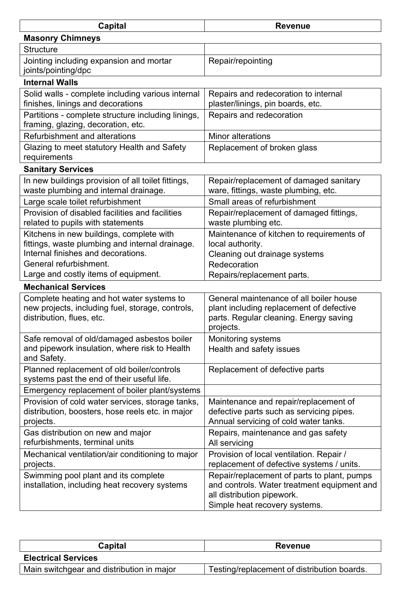| <b>Capital</b>                                                                                                                                              | <b>Revenue</b>                                                                                                                                            |  |
|-------------------------------------------------------------------------------------------------------------------------------------------------------------|-----------------------------------------------------------------------------------------------------------------------------------------------------------|--|
| <b>Masonry Chimneys</b>                                                                                                                                     |                                                                                                                                                           |  |
| <b>Structure</b>                                                                                                                                            |                                                                                                                                                           |  |
| Jointing including expansion and mortar<br>joints/pointing/dpc                                                                                              | Repair/repointing                                                                                                                                         |  |
| <b>Internal Walls</b>                                                                                                                                       |                                                                                                                                                           |  |
| Solid walls - complete including various internal<br>finishes, linings and decorations                                                                      | Repairs and redecoration to internal<br>plaster/linings, pin boards, etc.                                                                                 |  |
| Partitions - complete structure including linings,<br>framing, glazing, decoration, etc.                                                                    | Repairs and redecoration                                                                                                                                  |  |
| <b>Refurbishment and alterations</b>                                                                                                                        | <b>Minor alterations</b>                                                                                                                                  |  |
| Glazing to meet statutory Health and Safety<br>requirements                                                                                                 | Replacement of broken glass                                                                                                                               |  |
| <b>Sanitary Services</b>                                                                                                                                    |                                                                                                                                                           |  |
| In new buildings provision of all toilet fittings,<br>waste plumbing and internal drainage.                                                                 | Repair/replacement of damaged sanitary<br>ware, fittings, waste plumbing, etc.                                                                            |  |
| Large scale toilet refurbishment                                                                                                                            | Small areas of refurbishment                                                                                                                              |  |
| Provision of disabled facilities and facilities<br>related to pupils with statements                                                                        | Repair/replacement of damaged fittings,<br>waste plumbing etc.                                                                                            |  |
| Kitchens in new buildings, complete with<br>fittings, waste plumbing and internal drainage.<br>Internal finishes and decorations.<br>General refurbishment. | Maintenance of kitchen to requirements of<br>local authority.<br>Cleaning out drainage systems                                                            |  |
| Large and costly items of equipment.                                                                                                                        | Redecoration<br>Repairs/replacement parts.                                                                                                                |  |
| <b>Mechanical Services</b>                                                                                                                                  |                                                                                                                                                           |  |
| Complete heating and hot water systems to<br>new projects, including fuel, storage, controls,<br>distribution, flues, etc.                                  | General maintenance of all boiler house<br>plant including replacement of defective<br>parts. Regular cleaning. Energy saving<br>projects.                |  |
| Safe removal of old/damaged asbestos boiler<br>and pipework insulation, where risk to Health<br>and Safety.                                                 | <b>Monitoring systems</b><br>Health and safety issues                                                                                                     |  |
| Planned replacement of old boiler/controls<br>systems past the end of their useful life.                                                                    | Replacement of defective parts                                                                                                                            |  |
| Emergency replacement of boiler plant/systems                                                                                                               |                                                                                                                                                           |  |
| Provision of cold water services, storage tanks,<br>distribution, boosters, hose reels etc. in major<br>projects.                                           | Maintenance and repair/replacement of<br>defective parts such as servicing pipes.<br>Annual servicing of cold water tanks.                                |  |
| Gas distribution on new and major<br>refurbishments, terminal units                                                                                         | Repairs, maintenance and gas safety<br>All servicing                                                                                                      |  |
| Mechanical ventilation/air conditioning to major<br>projects.                                                                                               | Provision of local ventilation. Repair /<br>replacement of defective systems / units.                                                                     |  |
| Swimming pool plant and its complete<br>installation, including heat recovery systems                                                                       | Repair/replacement of parts to plant, pumps<br>and controls. Water treatment equipment and<br>all distribution pipework.<br>Simple heat recovery systems. |  |

| Capital                                   | <b>Revenue</b>                              |
|-------------------------------------------|---------------------------------------------|
| <b>Electrical Services</b>                |                                             |
| Main switchgear and distribution in major | Testing/replacement of distribution boards. |